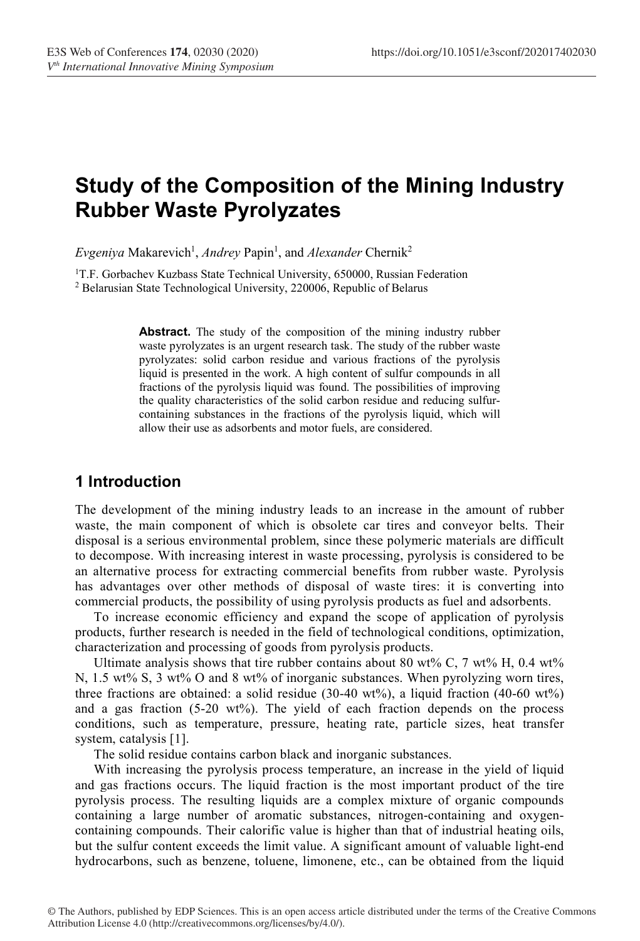# Study of the Composition of the Mining Industry Rubber Waste Pyrolyzates

Evgeniya Makarevich<sup>1</sup>, Andrey Papin<sup>1</sup>, and Alexander Chernik<sup>2</sup>

<sup>1</sup>T.F. Gorbachev Kuzbass State Technical University, 650000, Russian Federation <sup>2</sup> Belarusian State Technological University, 220006, Republic of Belarus

> Abstract. The study of the composition of the mining industry rubber waste pyrolyzates is an urgent research task. The study of the rubber waste pyrolyzates: solid carbon residue and various fractions of the pyrolysis liquid is presented in the work. A high content of sulfur compounds in all fractions of the pyrolysis liquid was found. The possibilities of improving the quality characteristics of the solid carbon residue and reducing sulfurcontaining substances in the fractions of the pyrolysis liquid, which will allow their use as adsorbents and motor fuels, are considered.

## 1 Introduction

The development of the mining industry leads to an increase in the amount of rubber waste, the main component of which is obsolete car tires and conveyor belts. Their disposal is a serious environmental problem, since these polymeric materials are difficult to decompose. With increasing interest in waste processing, pyrolysis is considered to be an alternative process for extracting commercial benefits from rubber waste. Pyrolysis has advantages over other methods of disposal of waste tires: it is converting into commercial products, the possibility of using pyrolysis products as fuel and adsorbents.

To increase economic efficiency and expand the scope of application of pyrolysis products, further research is needed in the field of technological conditions, optimization, characterization and processing of goods from pyrolysis products.

Ultimate analysis shows that tire rubber contains about 80 wt% C, 7 wt% H, 0.4 wt% N, 1.5 wt% S, 3 wt% O and 8 wt% of inorganic substances. When pyrolyzing worn tires, three fractions are obtained: a solid residue (30-40 wt%), a liquid fraction (40-60 wt%) and a gas fraction (5-20 wt%). The yield of each fraction depends on the process conditions, such as temperature, pressure, heating rate, particle sizes, heat transfer system, catalysis [1].

The solid residue contains carbon black and inorganic substances.

With increasing the pyrolysis process temperature, an increase in the yield of liquid and gas fractions occurs. The liquid fraction is the most important product of the tire pyrolysis process. The resulting liquids are a complex mixture of organic compounds containing a large number of aromatic substances, nitrogen-containing and oxygencontaining compounds. Their calorific value is higher than that of industrial heating oils, but the sulfur content exceeds the limit value. A significant amount of valuable light-end hydrocarbons, such as benzene, toluene, limonene, etc., can be obtained from the liquid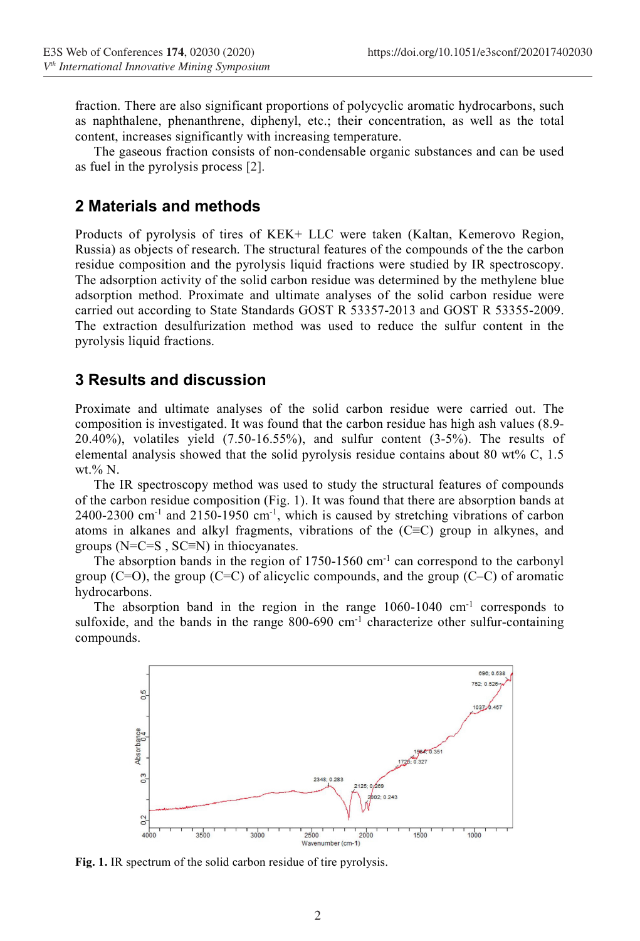fraction. There are also significant proportions of polycyclic aromatic hydrocarbons, such as naphthalene, phenanthrene, diphenyl, etc.; their concentration, as well as the total content, increases significantly with increasing temperature.

The gaseous fraction consists of non-condensable organic substances and can be used as fuel in the pyrolysis process [2].

#### 2 Materials and methods

Products of pyrolysis of tires of KEK+ LLC were taken (Kaltan, Kemerovo Region, Russia) as objects of research. The structural features of the compounds of the the carbon residue composition and the pyrolysis liquid fractions were studied by IR spectroscopy. The adsorption activity of the solid carbon residue was determined by the methylene blue adsorption method. Proximate and ultimate analyses of the solid carbon residue were carried out according to State Standards GOST R 53357-2013 and GOST R 53355-2009. The extraction desulfurization method was used to reduce the sulfur content in the pyrolysis liquid fractions.

#### 3 Results and discussion

Proximate and ultimate analyses of the solid carbon residue were carried out. The composition is investigated. It was found that the carbon residue has high ash values (8.9- 20.40%), volatiles yield (7.50-16.55%), and sulfur content (3-5%). The results of elemental analysis showed that the solid pyrolysis residue contains about 80 wt% C, 1.5 wt.% N.

The IR spectroscopy method was used to study the structural features of compounds of the carbon residue composition (Fig. 1). It was found that there are absorption bands at  $2400-2300$  cm<sup>-1</sup> and  $2150-1950$  cm<sup>-1</sup>, which is caused by stretching vibrations of carbon atoms in alkanes and alkyl fragments, vibrations of the (C≡C) group in alkynes, and groups (N=C=S , SC≡N) in thiocyanates.

The absorption bands in the region of 1750-1560 cm<sup>-1</sup> can correspond to the carbonyl group ( $C=O$ ), the group ( $C=C$ ) of alicyclic compounds, and the group ( $C-C$ ) of aromatic hydrocarbons.

The absorption band in the region in the range  $1060-1040$  cm<sup>-1</sup> corresponds to sulfoxide, and the bands in the range 800-690 cm-1 characterize other sulfur-containing compounds.



Fig. 1. IR spectrum of the solid carbon residue of tire pyrolysis.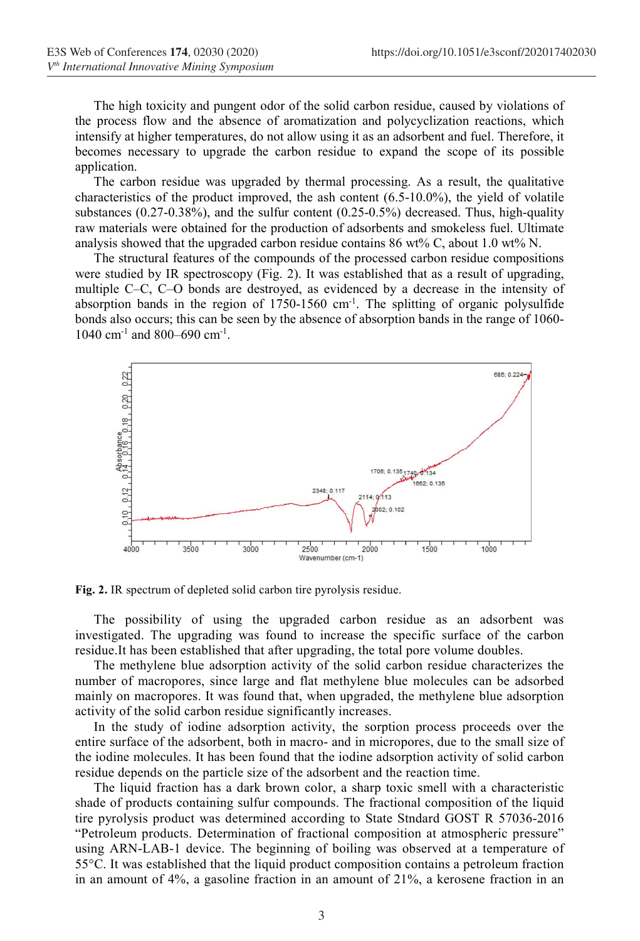The high toxicity and pungent odor of the solid carbon residue, caused by violations of the process flow and the absence of aromatization and polycyclization reactions, which intensify at higher temperatures, do not allow using it as an adsorbent and fuel. Therefore, it becomes necessary to upgrade the carbon residue to expand the scope of its possible application.

The carbon residue was upgraded by thermal processing. As a result, the qualitative characteristics of the product improved, the ash content  $(6.5-10.0\%)$ , the yield of volatile substances (0.27-0.38%), and the sulfur content (0.25-0.5%) decreased. Thus, high-quality raw materials were obtained for the production of adsorbents and smokeless fuel. Ultimate analysis showed that the upgraded carbon residue contains 86 wt% C, about 1.0 wt% N.

The structural features of the compounds of the processed carbon residue compositions were studied by IR spectroscopy (Fig. 2). It was established that as a result of upgrading, multiple С–С, С–О bonds are destroyed, as evidenced by a decrease in the intensity of absorption bands in the region of  $1750-1560$  cm<sup>-1</sup>. The splitting of organic polysulfide bonds also occurs; this can be seen by the absence of absorption bands in the range of 1060- 1040 cm<sup>-1</sup> and 800–690 cm<sup>-1</sup>.



Fig. 2. IR spectrum of depleted solid carbon tire pyrolysis residue.

The possibility of using the upgraded carbon residue as an adsorbent was investigated. The upgrading was found to increase the specific surface of the carbon residue.It has been established that after upgrading, the total pore volume doubles.

The methylene blue adsorption activity of the solid carbon residue characterizes the number of macropores, since large and flat methylene blue molecules can be adsorbed mainly on macropores. It was found that, when upgraded, the methylene blue adsorption activity of the solid carbon residue significantly increases.

In the study of iodine adsorption activity, the sorption process proceeds over the entire surface of the adsorbent, both in macro- and in micropores, due to the small size of the iodine molecules. It has been found that the iodine adsorption activity of solid carbon residue depends on the particle size of the adsorbent and the reaction time.

The liquid fraction has a dark brown color, a sharp toxic smell with a characteristic shade of products containing sulfur compounds. The fractional composition of the liquid tire pyrolysis product was determined according to State Stndard GOST R 57036-2016 "Petroleum products. Determination of fractional composition at atmospheric pressure" using ARN-LAB-1 device. The beginning of boiling was observed at a temperature of 55°C. It was established that the liquid product composition contains a petroleum fraction in an amount of 4%, a gasoline fraction in an amount of 21%, a kerosene fraction in an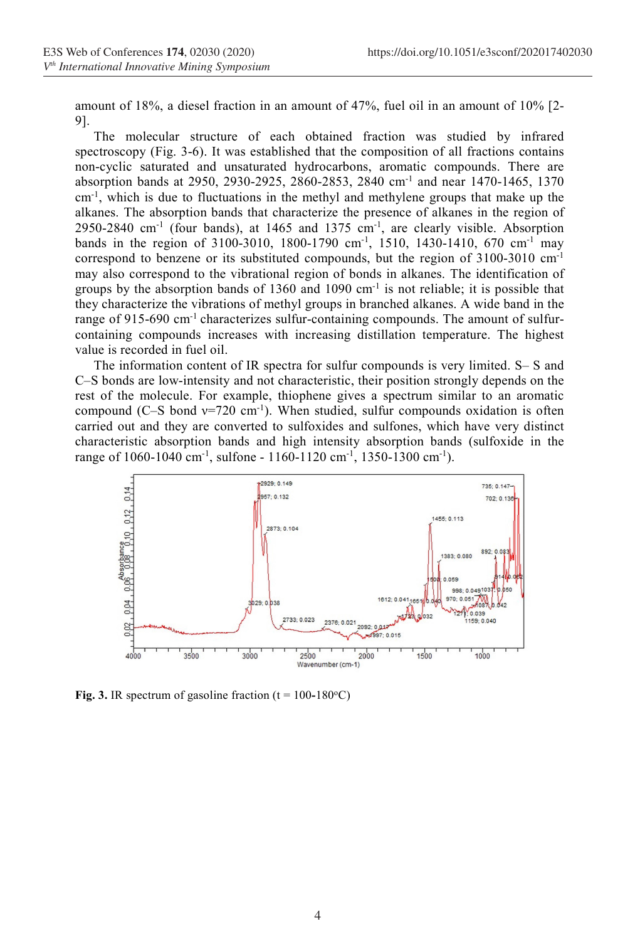amount of 18%, a diesel fraction in an amount of 47%, fuel oil in an amount of 10% [2- 9].

The molecular structure of each obtained fraction was studied by infrared spectroscopy (Fig. 3-6). It was established that the composition of all fractions contains non-cyclic saturated and unsaturated hydrocarbons, aromatic compounds. There are absorption bands at 2950, 2930-2925, 2860-2853, 2840 cm-1 and near 1470-1465, 1370  $cm<sup>-1</sup>$ , which is due to fluctuations in the methyl and methylene groups that make up the alkanes. The absorption bands that characterize the presence of alkanes in the region of 2950-2840 cm<sup>-1</sup> (four bands), at 1465 and 1375 cm<sup>-1</sup>, are clearly visible. Absorption bands in the region of 3100-3010, 1800-1790 cm<sup>-1</sup>, 1510, 1430-1410, 670 cm<sup>-1</sup> may correspond to benzene or its substituted compounds, but the region of  $3100-3010$  cm<sup>-1</sup> may also correspond to the vibrational region of bonds in alkanes. The identification of groups by the absorption bands of  $1360$  and  $1090$  cm<sup>-1</sup> is not reliable; it is possible that they characterize the vibrations of methyl groups in branched alkanes. A wide band in the range of 915-690 cm<sup>-1</sup> characterizes sulfur-containing compounds. The amount of sulfurcontaining compounds increases with increasing distillation temperature. The highest value is recorded in fuel oil.

The information content of IR spectra for sulfur compounds is very limited. S– S and C–S bonds are low-intensity and not characteristic, their position strongly depends on the rest of the molecule. For example, thiophene gives a spectrum similar to an aromatic compound (C–S bond  $v=720 \text{ cm}^{-1}$ ). When studied, sulfur compounds oxidation is often carried out and they are converted to sulfoxides and sulfones, which have very distinct characteristic absorption bands and high intensity absorption bands (sulfoxide in the range of 1060-1040 cm<sup>-1</sup>, sulfone - 1160-1120 cm<sup>-1</sup>, 1350-1300 cm<sup>-1</sup>).



Fig. 3. IR spectrum of gasoline fraction  $(t = 100-180^{\circ}C)$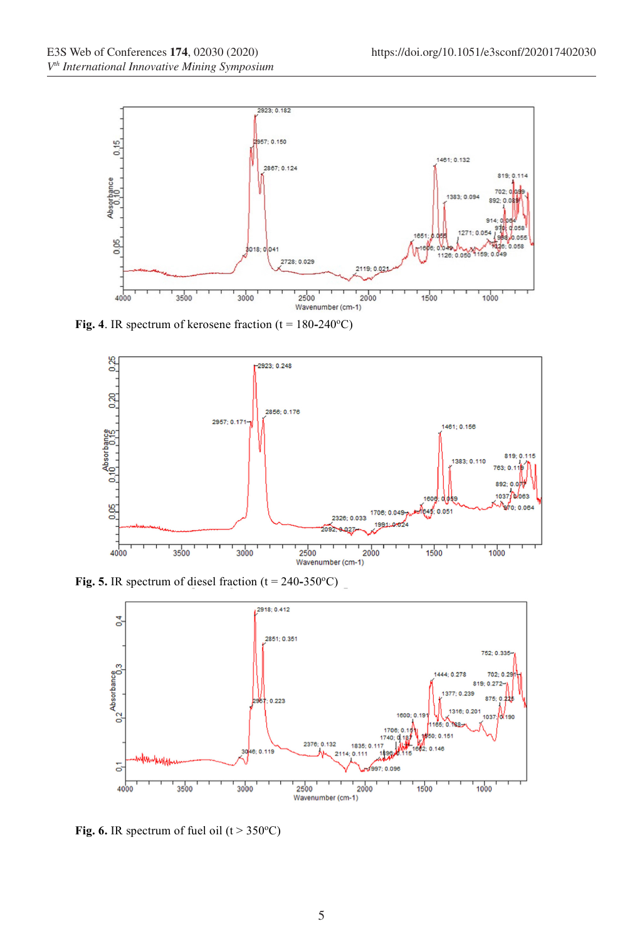

Fig. 4. IR spectrum of kerosene fraction ( $t = 180-240$ °C)



Fig. 5. IR spectrum of diesel fraction  $(t = 240-350^{\circ}C)$ 



Fig. 6. IR spectrum of fuel oil  $(t > 350^{\circ}C)$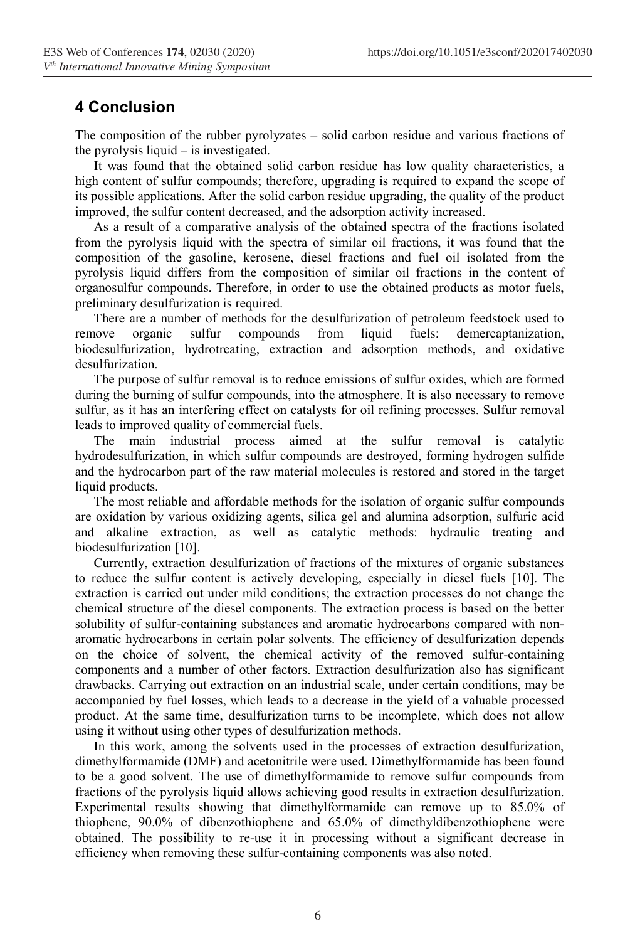## 4 Conclusion

The composition of the rubber pyrolyzates – solid carbon residue and various fractions of the pyrolysis liquid – is investigated.

It was found that the obtained solid carbon residue has low quality characteristics, a high content of sulfur compounds; therefore, upgrading is required to expand the scope of its possible applications. After the solid carbon residue upgrading, the quality of the product improved, the sulfur content decreased, and the adsorption activity increased.

As a result of a comparative analysis of the obtained spectra of the fractions isolated from the pyrolysis liquid with the spectra of similar oil fractions, it was found that the composition of the gasoline, kerosene, diesel fractions and fuel oil isolated from the pyrolysis liquid differs from the composition of similar oil fractions in the content of organosulfur compounds. Therefore, in order to use the obtained products as motor fuels, preliminary desulfurization is required.

There are a number of methods for the desulfurization of petroleum feedstock used to nove organic sulfur compounds from liquid fuels: demercaptanization, remove organic sulfur compounds from liquid fuels: demercaptanization, biodesulfurization, hydrotreating, extraction and adsorption methods, and oxidative desulfurization.

The purpose of sulfur removal is to reduce emissions of sulfur oxides, which are formed during the burning of sulfur compounds, into the atmosphere. It is also necessary to remove sulfur, as it has an interfering effect on catalysts for oil refining processes. Sulfur removal leads to improved quality of commercial fuels.

The main industrial process aimed at the sulfur removal is catalytic hydrodesulfurization, in which sulfur compounds are destroyed, forming hydrogen sulfide and the hydrocarbon part of the raw material molecules is restored and stored in the target liquid products.

The most reliable and affordable methods for the isolation of organic sulfur compounds are oxidation by various oxidizing agents, silica gel and alumina adsorption, sulfuric acid and alkaline extraction, as well as catalytic methods: hydraulic treating and biodesulfurization [10].

Currently, extraction desulfurization of fractions of the mixtures of organic substances to reduce the sulfur content is actively developing, especially in diesel fuels [10]. The extraction is carried out under mild conditions; the extraction processes do not change the chemical structure of the diesel components. The extraction process is based on the better solubility of sulfur-containing substances and aromatic hydrocarbons compared with nonaromatic hydrocarbons in certain polar solvents. The efficiency of desulfurization depends on the choice of solvent, the chemical activity of the removed sulfur-containing components and a number of other factors. Extraction desulfurization also has significant drawbacks. Carrying out extraction on an industrial scale, under certain conditions, may be accompanied by fuel losses, which leads to a decrease in the yield of a valuable processed product. At the same time, desulfurization turns to be incomplete, which does not allow using it without using other types of desulfurization methods.

In this work, among the solvents used in the processes of extraction desulfurization, dimethylformamide (DMF) and acetonitrile were used. Dimethylformamide has been found to be a good solvent. The use of dimethylformamide to remove sulfur compounds from fractions of the pyrolysis liquid allows achieving good results in extraction desulfurization. Experimental results showing that dimethylformamide can remove up to 85.0% of thiophene, 90.0% of dibenzothiophene and 65.0% of dimethyldibenzothiophene were obtained. The possibility to re-use it in processing without a significant decrease in efficiency when removing these sulfur-containing components was also noted.